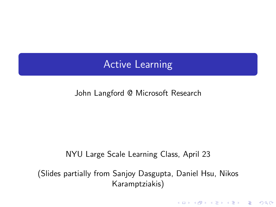## Active Learning

John Langford @ Microsoft Research

#### NYU Large Scale Learning Class, April 23

(Slides partially from Sanjoy Dasgupta, Daniel Hsu, Nikos Karamptziakis)

<span id="page-0-0"></span>**K ロ ▶ K @ ▶ K 할 X X 할 X 및 할 X X Q Q O**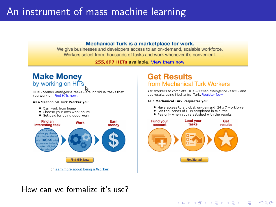## An instrument of mass machine learning

#### Mechanical Turk is a marketplace for work.

We give businesses and developers access to an on-demand, scalable workforce. Workers select from thousands of tasks and work whenever it's convenient.

255.697 HITs available. View them now.

#### **Make Money** by working on HITs

HITs - Human Intelligence Tasks - are individual tasks that you work on. Find HITs now.

#### As a Mechanical Turk Worker vou:

- Can work from home
- . Choose your own work hours
- · Get paid for doing good work



#### **Get Results** from Mechanical Turk Workers

Ask workers to complete HITs - Human Intelligence Tasks - and get results using Mechanical Turk, Register Now

#### As a Mechanical Turk Requester you:

- . Have access to a global, on-demand, 24 x 7 workforce
- . Get thousands of HITs completed in minutes
- Pay only when you're satisfied with the results



**KORK STRAIN A BAR SHOP** 

#### How can we formalize it's use?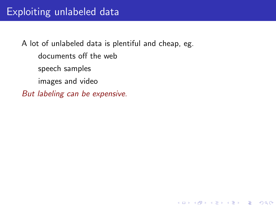K ロ ▶ K @ ▶ K 할 > K 할 > 1 할 > 1 이익어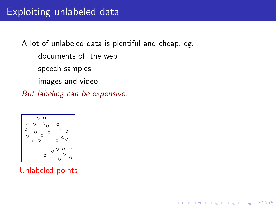$\mathbf{E} = \mathbf{A} \oplus \mathbf{A} + \mathbf{A} \oplus \mathbf{A} + \mathbf{A} \oplus \mathbf{A} + \mathbf{A} \oplus \mathbf{A} + \mathbf{A} \oplus \mathbf{A} + \mathbf{A} \oplus \mathbf{A} + \mathbf{A} \oplus \mathbf{A} + \mathbf{A} \oplus \mathbf{A} + \mathbf{A} \oplus \mathbf{A} + \mathbf{A} \oplus \mathbf{A} + \mathbf{A} \oplus \mathbf{A} + \mathbf{A} \oplus \mathbf{A} + \mathbf{A} \oplus \mathbf{A} + \mathbf{A$ 

 $2990$ 



Unlabeled points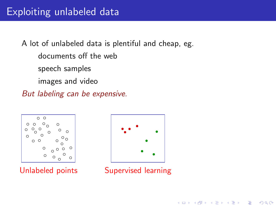



Unlabeled points Supervised learning

 $\left\{ \begin{array}{ccc} \pm & \pm & \pm \end{array} \right.$ 

 $2990$ 

 $\Rightarrow$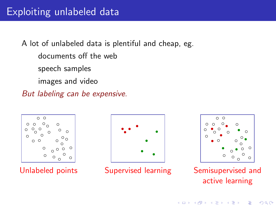





Unlabeled points Supervised learning Semisupervised and active learning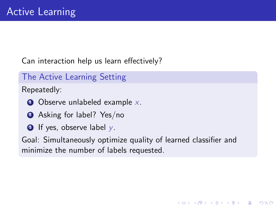Can interaction help us learn effectively?

The Active Learning Setting

Repeatedly:

- $\bullet$  Observe unlabeled example x.
- **2** Asking for label? Yes/no
- $\bullet$  If yes, observe label y.

Goal: Simultaneously optimize quality of learned classifier and minimize the number of labels requested.

**KORK ERKER ADE YOUR**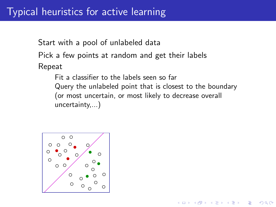Start with a pool of unlabeled data Pick a few points at random and get their labels Repeat

Fit a classifier to the labels seen so far Query the unlabeled point that is closest to the boundary (or most uncertain, or most likely to decrease overall uncertainty,...)

 $\mathbf{A} \equiv \mathbf{A} + \mathbf{B} + \mathbf{A} + \mathbf{B} + \mathbf{A} + \mathbf{B} + \mathbf{A} + \mathbf{B} + \mathbf{A} + \mathbf{B} + \mathbf{A} + \mathbf{B} + \mathbf{A} + \mathbf{B} + \mathbf{A} + \mathbf{B} + \mathbf{A} + \mathbf{B} + \mathbf{A} + \mathbf{B} + \mathbf{A} + \mathbf{B} + \mathbf{A} + \mathbf{B} + \mathbf{A} + \mathbf{B} + \mathbf{A} + \mathbf{B} + \mathbf{A} + \mathbf{B} + \math$ 

 $2990$ 

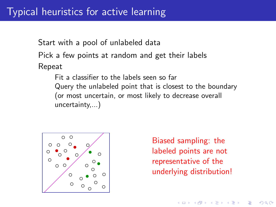Start with a pool of unlabeled data Pick a few points at random and get their labels Repeat

> Fit a classifier to the labels seen so far Query the unlabeled point that is closest to the boundary (or most uncertain, or most likely to decrease overall uncertainty,...)



Biased sampling: the labeled points are not representative of the underlying distribution!

**KORK ERKER ADE YOUR**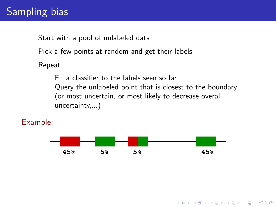# Sampling bias

Start with a pool of unlabeled data

Pick a few points at random and get their labels

Repeat

Fit a classifier to the labels seen so far Query the unlabeled point that is closest to the boundary (or most uncertain, or most likely to decrease overall uncertainty,...)

Example:



**KORK ERKER ADE YOUR**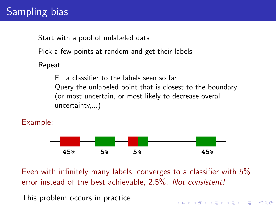# Sampling bias

Start with a pool of unlabeled data

Pick a few points at random and get their labels

Repeat

Fit a classifier to the labels seen so far Query the unlabeled point that is closest to the boundary (or most uncertain, or most likely to decrease overall uncertainty,...)

Example:



Even with infinitely many labels, converges to a classifier with 5% error instead of the best achievable, 2.5%. Not consistent!

**K ロ ▶ K @ ▶ K 할 X X 할 X 및 할 X X Q Q O** 

This problem occurs in practice.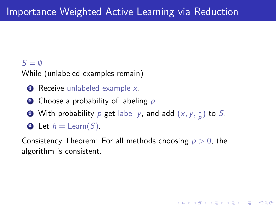#### $S = \emptyset$

While (unlabeled examples remain)

- $\bullet$  Receive unlabeled example x.
- **2** Choose a probability of labeling p.
- **3** With probability  $p$  get label  $y$ , and add  $(x, y, \frac{1}{p})$  $\frac{1}{p}$ ) to S.
- $\bullet$  Let  $h =$  Learn(S).

Consistency Theorem: For all methods choosing  $p > 0$ , the algorithm is consistent.

**KORK ERKER ADE YOUR**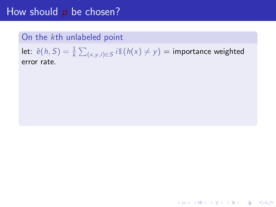#### On the kth unlabeled point

let:  $\hat{\mathrm{e}}(h, S) = \frac{1}{k} \sum_{(x,y,i) \in S} i \mathbb{1}(h(x) \neq y) = \text{importance weighted}$ error rate.

K ロ ▶ K @ ▶ K 할 > K 할 > 1 할 > 1 이익어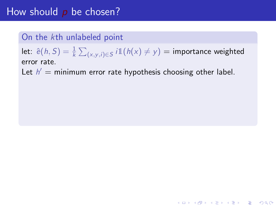#### On the kth unlabeled point

let:  $\hat{\mathrm{e}}(h, S) = \frac{1}{k} \sum_{(x,y,i) \in S} i \mathbb{1}(h(x) \neq y) = \text{importance weighted}$ error rate.

K ロ ▶ K @ ▶ K 할 > K 할 > 1 할 > 1 이익어

Let  $h' =$  minimum error rate hypothesis choosing other label.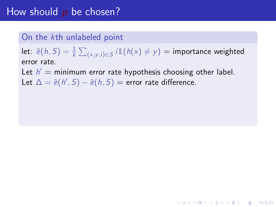#### On the kth unlabeled point

let:  $\hat{\mathrm{e}}(h, S) = \frac{1}{k} \sum_{(x,y,i) \in S} i \mathbb{1}(h(x) \neq y) = \text{importance weighted}$ error rate.

**KORK ERKER ADE YOUR** 

Let  $h' =$  minimum error rate hypothesis choosing other label.

Let  $\Delta = \hat{e}(h', S) - \hat{e}(h, S) =$  error rate difference.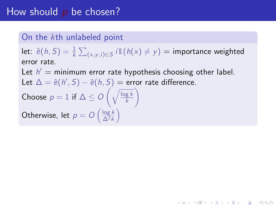#### On the kth unlabeled point

let:  $\hat{\mathrm{e}}(h, S) = \frac{1}{k} \sum_{(x,y,i) \in S} i \mathbb{1}(h(x) \neq y) = \text{importance weighted}$ error rate.

**KORKA SERKER ORA** 

Let  $h' =$  minimum error rate hypothesis choosing other label.

Let  $\Delta = \hat{e}(h', S) - \hat{e}(h, S) =$  error rate difference.

Choose  $p = 1$  if  $\Delta \leq O\left(\sqrt{\frac{\log k}{k}}\right)$ k  $\setminus$ 

Otherwise, let  $p = O\left(\frac{\log k}{\Delta^2 k}\right)$  $rac{\log k}{\Delta^2 k}$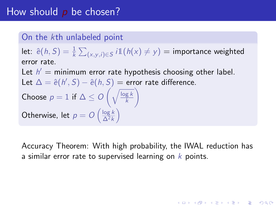#### On the kth unlabeled point

let:  $\hat{\mathrm{e}}(h, S) = \frac{1}{k} \sum_{(x,y,i) \in S} i \mathbb{1}(h(x) \neq y) = \text{importance weighted}$ error rate.

Let  $h' =$  minimum error rate hypothesis choosing other label.

Let  $\Delta = \hat{e}(h', S) - \hat{e}(h, S) =$  error rate difference.

Choose 
$$
p = 1
$$
 if  $\Delta \leq O\left(\sqrt{\frac{\log k}{k}}\right)$ 

Otherwise, let  $p = O\left(\frac{\log k}{\Delta^2 k}\right)$  $rac{\log k}{\Delta^2 k}$ 

Accuracy Theorem: With high probability, the IWAL reduction has a similar error rate to supervised learning on  $k$  points.

**KORKAR KERKER EL VOLO**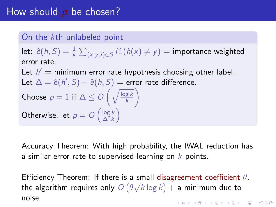#### On the kth unlabeled point

let:  $\hat{\mathrm{e}}(h, S) = \frac{1}{k} \sum_{(x,y,i) \in S} i \mathbb{1}(h(x) \neq y) = \text{importance weighted}$ error rate.

Let  $h' =$  minimum error rate hypothesis choosing other label.

Let  $\Delta = \hat{e}(h', S) - \hat{e}(h, S) =$  error rate difference.

Choose 
$$
p = 1
$$
 if  $\Delta \leq O\left(\sqrt{\frac{\log k}{k}}\right)$ 

Otherwise, let  $p = O\left(\frac{\log k}{\Delta^2 k}\right)$  $rac{\log k}{\Delta^2 k}$ 

Accuracy Theorem: With high probability, the IWAL reduction has a similar error rate to supervised learning on  $k$  points.

Efficiency Theorem: If there is a small disagreement coefficient  $\theta$ , the algorithm requires only  $O\left(\theta\sqrt{k\log k}\right)+$  a minimum due to noise.**AD A 4 4 4 5 A 5 A 5 A 4 D A 4 D A 4 PM**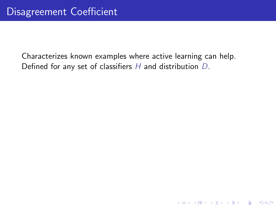Characterizes known examples where active learning can help. Defined for any set of classifiers H and distribution D.

**K ロ ▶ K @ ▶ K 할 X X 할 X 및 할 X X Q Q O**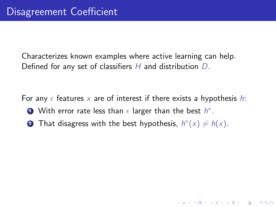Characterizes known examples where active learning can help. Defined for any set of classifiers  $H$  and distribution  $D$ .

For any  $\epsilon$  features x are of interest if there exists a hypothesis h:

**K ロ ▶ K @ ▶ K 할 X X 할 X 및 할 X X Q Q O** 

- **■** With error rate less than  $\epsilon$  larger than the best  $h^*$ .
- **2** That disagress with the best hypothesis,  $h^*(x) \neq h(x)$ .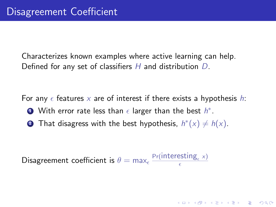Characterizes known examples where active learning can help. Defined for any set of classifiers  $H$  and distribution  $D$ .

For any  $\epsilon$  features x are of interest if there exists a hypothesis h:

- **■** With error rate less than  $\epsilon$  larger than the best  $h^*$ .
- **2** That disagress with the best hypothesis,  $h^*(x) \neq h(x)$ .

Disagreement coefficient is  $\theta = \max_{\epsilon} \frac{\Pr(\text{interesting}_{\epsilon} \times \text{)} }{\epsilon}$  $\epsilon$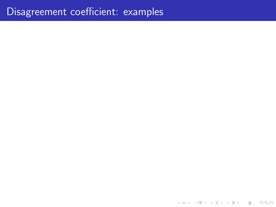K ロ ▶ K @ ▶ K 할 ▶ K 할 ▶ 이 할 → 9 Q @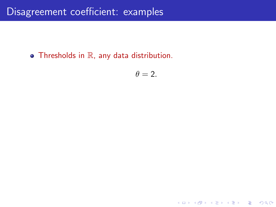$\bullet$  Thresholds in  $\mathbb R$ , any data distribution.

$$
\theta=2.
$$

K ロ ▶ K @ ▶ K 할 ▶ K 할 ▶ | 할 | ⊙Q @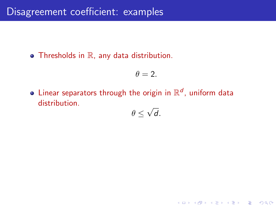$\bullet$  Thresholds in  $\mathbb R$ , any data distribution.

$$
\theta=2.
$$

Linear separators through the origin in  $\mathbb{R}^d$ , uniform data distribution. √

$$
\theta \leq \sqrt{d}.
$$

**K ロ ▶ K @ ▶ K 할 X X 할 X 및 할 X X Q Q O**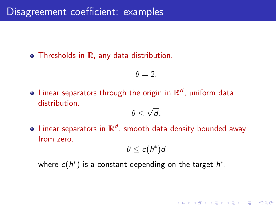$\bullet$  Thresholds in  $\mathbb R$ , any data distribution.

$$
\theta=2.
$$

Linear separators through the origin in  $\mathbb{R}^d$ , uniform data distribution. √

$$
\theta \leq \sqrt{d}.
$$

Linear separators in  $\mathbb{R}^d$ , smooth data density bounded away from zero.

$$
\theta \leq c(h^*)d
$$

**K ロ ▶ K @ ▶ K 할 X X 할 X 및 할 X X Q Q O** 

where  $c(h^*)$  is a constant depending on the target  $h^*$ .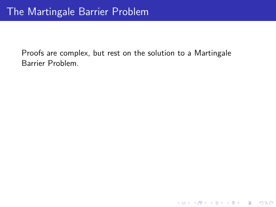Proofs are complex, but rest on the solution to a Martingale Barrier Problem.

K ロ ▶ K @ ▶ K 할 ▶ K 할 ▶ | 할 | ⊙Q @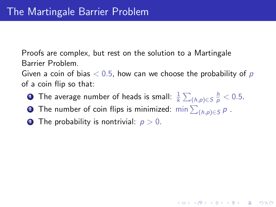Proofs are complex, but rest on the solution to a Martingale Barrier Problem.

Given a coin of bias  $< 0.5$ , how can we choose the probability of p of a coin flip so that:

 $\textbf{D}$  The average number of heads is small:  $\frac{1}{k}\sum_{(h,p)\in S}\frac{h}{p} < 0.5.$ 

**KORKAR KERKER EL VOLO** 

- $\textbf{2}$  The number of coin flips is minimized:  $\min\sum_{(h,p)\in S} p$  .
- **3** The probability is nontrivial:  $p > 0$ .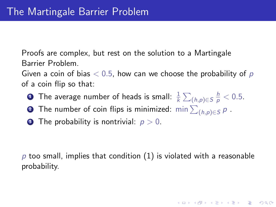Proofs are complex, but rest on the solution to a Martingale Barrier Problem.

Given a coin of bias  $< 0.5$ , how can we choose the probability of p of a coin flip so that:

- $\textbf{D}$  The average number of heads is small:  $\frac{1}{k}\sum_{(h,p)\in S}\frac{h}{p} < 0.5.$
- $\textbf{2}$  The number of coin flips is minimized:  $\min\sum_{(h,p)\in S} p$  .
- **3** The probability is nontrivial:  $p > 0$ .

 $p$  too small, implies that condition (1) is violated with a reasonable probability.

**AD A 4 4 4 5 A 5 A 5 A 4 D A 4 D A 4 PM**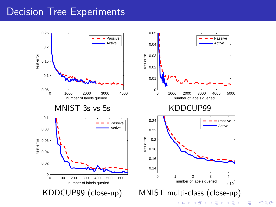#### Decision Tree Experiments



 $299$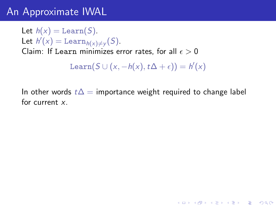## An Approximate IWAL

Let  $h(x) = \text{Learn}(S)$ .

Let  $h'(x) = \text{Learn}_{h(x) \neq y}(S)$ .

Claim: If Learn minimizes error rates, for all  $\epsilon > 0$ 

Learn $(S \cup (x, -h(x), t\Delta + \epsilon)) = h'(x)$ 

In other words  $t\Delta$  = importance weight required to change label for current x.

**KORKA SERKER ORA**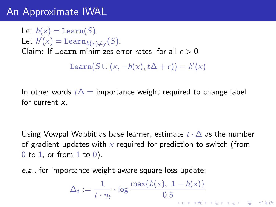## An Approximate IWAL

Let  $h(x) =$  Learn(S). Let  $h'(x) = \text{Learn}_{h(x) \neq y}(S)$ . Claim: If Learn minimizes error rates, for all  $\epsilon > 0$ Learn $(S \cup (x, -h(x), t\Delta + \epsilon)) = h'(x)$ 

In other words  $t\Delta$  = importance weight required to change label for current x.

Using Vowpal Wabbit as base learner, estimate  $t \cdot \Delta$  as the number of gradient updates with x required for prediction to switch (from  $0$  to  $1$ , or from  $1$  to  $0$ ).

e.g., for importance weight-aware square-loss update:

$$
\Delta_t := \frac{1}{t \cdot \eta_t} \cdot \log \frac{\max\{h(x), 1 - h(x)\}}{0.5}
$$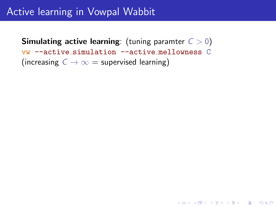### Active learning in Vowpal Wabbit

**Simulating active learning:** (tuning paramter  $C > 0$ ) vw --active simulation --active mellowness C (increasing  $C \rightarrow \infty$  = supervised learning)

**K ロ ▶ K @ ▶ K 할 X X 할 X 및 할 X X Q Q O**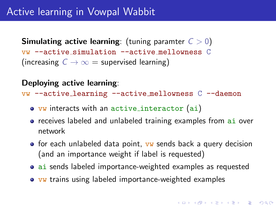#### Active learning in Vowpal Wabbit

**Simulating active learning:** (tuning paramter  $C > 0$ ) vw --active simulation --active mellowness C (increasing  $C \rightarrow \infty$  = supervised learning)

#### Deploying active learning:

vw --active learning --active mellowness C --daemon

- vw interacts with an active interactor (ai)
- **•** receives labeled and unlabeled training examples from ai over network
- $\bullet$  for each unlabeled data point,  $vw$  sends back a query decision (and an importance weight if label is requested)
- ai sends labeled importance-weighted examples as requested
- vw trains using labeled importance-weighted examples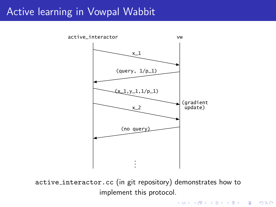#### Active learning in Vowpal Wabbit



active interactor.cc (in git repository) demonstrates how to implement this protocol.

K ロ ▶ K @ ▶ K 할 > K 할 > 1 할 > 1 이익어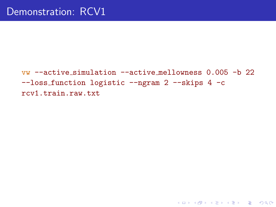vw --active simulation --active mellowness 0.005 -b 22 --loss function logistic --ngram 2 --skips 4 -c rcv1.train.raw.txt

**K ロ ▶ K @ ▶ K 할 X X 할 X 및 할 X X Q Q O \***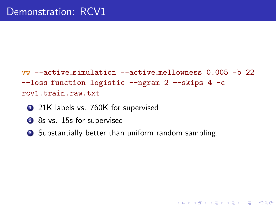$vw$  --active simulation --active mellowness 0.005 -b 22 --loss function logistic --ngram 2 --skips 4 -c rcv1.train.raw.txt

**KORK STRATER STRAKER** 

- <sup>1</sup> 21K labels vs. 760K for supervised
- 2 8s vs. 15s for supervised
- **3** Substantially better than uniform random sampling.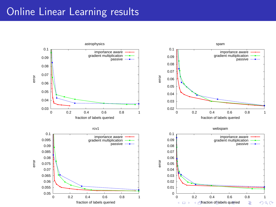## Online Linear Learning results

<span id="page-36-0"></span>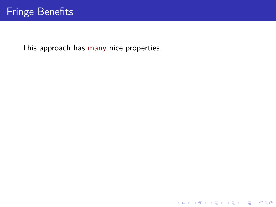<span id="page-37-0"></span>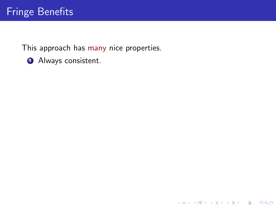K ロ ▶ K @ ▶ K 할 ▶ K 할 ▶ | 할 | ⊙Q @

**4** Always consistent.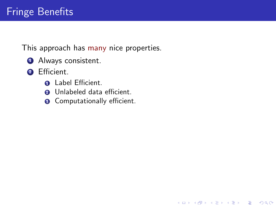- **4** Always consistent.
- 2 Efficient.
	- **Q** Label Efficient.
	- **2** Unlabeled data efficient.
	- **3** Computationally efficient.

K ロ ▶ K @ ▶ K 할 > K 할 > 1 할 > 1 이익어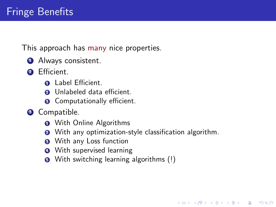- Always consistent.
- 2 Efficient.
	- Label Efficient.
	- Unlabeled data efficient.
	- Computationally efficient.
- Compatible.
	- With Online Algorithms
	- With any optimization-style classification algorithm.

**KORKA SERKER ORA** 

- <sup>3</sup> With any Loss function
- With supervised learning
- With switching learning algorithms (!)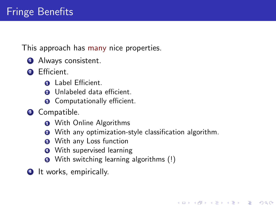- Always consistent.
- 2 Efficient.
	- Label Efficient.
	- Unlabeled data efficient.
	- Computationally efficient.
- Compatible.
	- With Online Algorithms
	- With any optimization-style classification algorithm.

**KORKA SERKER ORA** 

- <sup>3</sup> With any Loss function
- With supervised learning
- With switching learning algorithms (!)
- It works, empirically.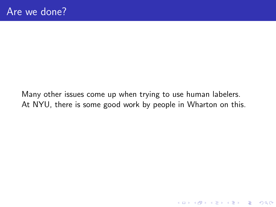Many other issues come up when trying to use human labelers. At NYU, there is some good work by people in Wharton on this.

K ロ K K (P) K (E) K (E) X (E) X (P) K (P)